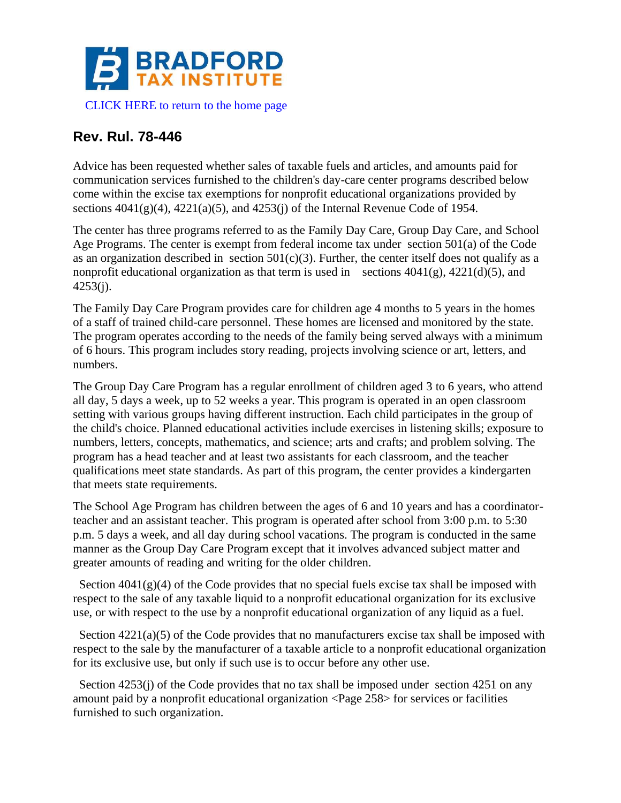

## **Rev. Rul. 78-446**

Advice has been requested whether sales of taxable fuels and articles, and amounts paid for communication services furnished to the children's day-care center programs described below come within the excise tax exemptions for nonprofit educational organizations provided by sections  $4041(g)(4)$ ,  $4221(a)(5)$ , and  $4253(i)$  of the Internal Revenue Code of 1954.

The center has three programs referred to as the Family Day Care, Group Day Care, and School Age Programs. The center is exempt from federal income tax under section 501(a) of the Code as an organization described in section  $501(c)(3)$ . Further, the center itself does not qualify as a nonprofit educational organization as that term is used in sections  $4041(g)$ ,  $4221(d)(5)$ , and 4253(j).

The Family Day Care Program provides care for children age 4 months to 5 years in the homes of a staff of trained child-care personnel. These homes are licensed and monitored by the state. The program operates according to the needs of the family being served always with a minimum of 6 hours. This program includes story reading, projects involving science or art, letters, and numbers.

The Group Day Care Program has a regular enrollment of children aged 3 to 6 years, who attend all day, 5 days a week, up to 52 weeks a year. This program is operated in an open classroom setting with various groups having different instruction. Each child participates in the group of the child's choice. Planned educational activities include exercises in listening skills; exposure to numbers, letters, concepts, mathematics, and science; arts and crafts; and problem solving. The program has a head teacher and at least two assistants for each classroom, and the teacher qualifications meet state standards. As part of this program, the center provides a kindergarten that meets state requirements.

The School Age Program has children between the ages of 6 and 10 years and has a coordinatorteacher and an assistant teacher. This program is operated after school from 3:00 p.m. to 5:30 p.m. 5 days a week, and all day during school vacations. The program is conducted in the same manner as the Group Day Care Program except that it involves advanced subject matter and greater amounts of reading and writing for the older children.

Section  $4041(g)(4)$  of the Code provides that no special fuels excise tax shall be imposed with respect to the sale of any taxable liquid to a nonprofit educational organization for its exclusive use, or with respect to the use by a nonprofit educational organization of any liquid as a fuel.

Section  $4221(a)(5)$  of the Code provides that no manufacturers excise tax shall be imposed with respect to the sale by the manufacturer of a taxable article to a nonprofit educational organization for its exclusive use, but only if such use is to occur before any other use.

Section  $4253$ (j) of the Code provides that no tax shall be imposed under section 4251 on any amount paid by a nonprofit educational organization <Page 258> for services or facilities furnished to such organization.